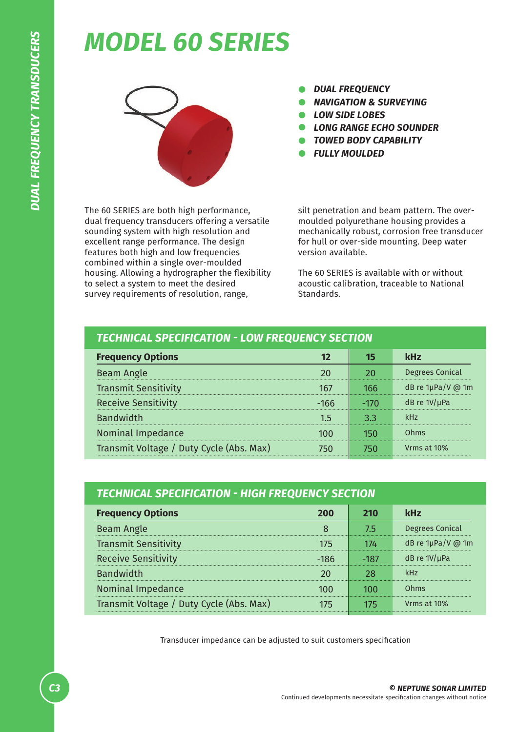## *MODEL 60 SERIES*



*DUAL FREQUENCY*  $\bullet$ 

*NAVIGATION & SURVEYING*

- *LOW SIDE LOBES*
- *LONG RANGE ECHO SOUNDER*
- *TOWED BODY CAPABILITY*
- *FULLY MOULDED*

The 60 SERIES are both high performance, dual frequency transducers offering a versatile sounding system with high resolution and excellent range performance. The design features both high and low frequencies combined within a single over-moulded housing. Allowing a hydrographer the flexibility to select a system to meet the desired survey requirements of resolution, range,

silt penetration and beam pattern. The overmoulded polyurethane housing provides a mechanically robust, corrosion free transducer for hull or over-side mounting. Deep water version available.

The 60 SERIES is available with or without acoustic calibration, traceable to National Standards.

| <b>TECHNICAL SPECIFICATION - LOW FREQUENCY SECTION</b> |          |                        |  |
|--------------------------------------------------------|----------|------------------------|--|
|                                                        |          | kHz                    |  |
|                                                        |          | <b>Degrees Conical</b> |  |
| 167                                                    | 166      | dB re 1µPa/V @ 1m      |  |
| -166                                                   |          | dB re $1V/\mu$ Pa      |  |
| 1 5                                                    | २ २<br>. | kHz                    |  |
|                                                        |          | Ohms                   |  |
|                                                        |          | Vrms at 10%            |  |
|                                                        |          |                        |  |

| <b>TECHNICAL SPECIFICATION - HIGH FREQUENCY SECTION</b> |          |        |                        |  |
|---------------------------------------------------------|----------|--------|------------------------|--|
| <b>Frequency Options</b>                                | 200      | 210    | <b>kHz</b>             |  |
| Beam Angle                                              |          | 75     | Degrees Conical        |  |
| <b>Transmit Sensitivity</b>                             | 175      | 174    | dB re $1\mu$ Pa/V @ 1m |  |
| <b>Receive Sensitivity</b>                              | -186<br> | $-187$ | dB re $1V/\mu$ Pa      |  |
| <b>Bandwidth</b>                                        |          |        |                        |  |
| Nominal Impedance                                       |          |        | Ohms                   |  |
| Transmit Voltage / Duty Cycle (Abs. Max)                |          |        | Vrms at 10%            |  |

Transducer impedance can be adjusted to suit customers specification